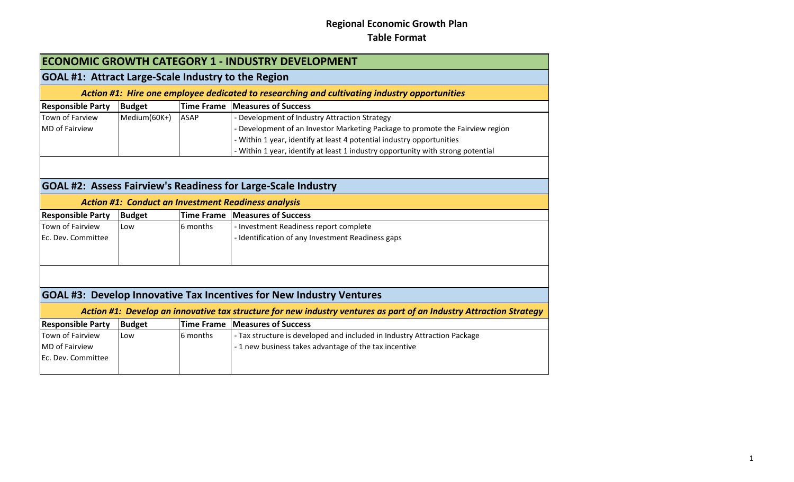| <b>ECONOMIC GROWTH CATEGORY 1 - INDUSTRY DEVELOPMENT</b>                                     |                                                            |                   |                                                                                                                     |  |  |
|----------------------------------------------------------------------------------------------|------------------------------------------------------------|-------------------|---------------------------------------------------------------------------------------------------------------------|--|--|
|                                                                                              | <b>GOAL #1: Attract Large-Scale Industry to the Region</b> |                   |                                                                                                                     |  |  |
| Action #1: Hire one employee dedicated to researching and cultivating industry opportunities |                                                            |                   |                                                                                                                     |  |  |
| <b>Responsible Party</b>                                                                     | <b>Budget</b>                                              |                   | Time Frame   Measures of Success                                                                                    |  |  |
| <b>Town of Farview</b>                                                                       | Medium(60K+)                                               | <b>ASAP</b>       | - Development of Industry Attraction Strategy                                                                       |  |  |
| <b>MD</b> of Fairview                                                                        |                                                            |                   | - Development of an Investor Marketing Package to promote the Fairview region                                       |  |  |
|                                                                                              |                                                            |                   | - Within 1 year, identify at least 4 potential industry opportunities                                               |  |  |
|                                                                                              |                                                            |                   | - Within 1 year, identify at least 1 industry opportunity with strong potential                                     |  |  |
|                                                                                              |                                                            |                   |                                                                                                                     |  |  |
|                                                                                              |                                                            |                   | <b>GOAL #2: Assess Fairview's Readiness for Large-Scale Industry</b>                                                |  |  |
|                                                                                              |                                                            |                   | <b>Action #1: Conduct an Investment Readiness analysis</b>                                                          |  |  |
| <b>Responsible Party</b>                                                                     | <b>Budget</b>                                              |                   | Time Frame Measures of Success                                                                                      |  |  |
| <b>Town of Fairview</b>                                                                      | Low                                                        | 6 months          | - Investment Readiness report complete                                                                              |  |  |
| Ec. Dev. Committee                                                                           |                                                            |                   | - Identification of any Investment Readiness gaps                                                                   |  |  |
|                                                                                              |                                                            |                   |                                                                                                                     |  |  |
|                                                                                              |                                                            |                   |                                                                                                                     |  |  |
|                                                                                              |                                                            |                   | GOAL #3: Develop Innovative Tax Incentives for New Industry Ventures                                                |  |  |
|                                                                                              |                                                            |                   | Action #1: Develop an innovative tax structure for new industry ventures as part of an Industry Attraction Strategy |  |  |
| <b>Responsible Party</b>                                                                     | <b>Budget</b>                                              | <b>Time Frame</b> | <b>Measures of Success</b>                                                                                          |  |  |
| Town of Fairview                                                                             | Low                                                        | 6 months          | - Tax structure is developed and included in Industry Attraction Package                                            |  |  |
| <b>MD</b> of Fairview                                                                        |                                                            |                   | - 1 new business takes advantage of the tax incentive                                                               |  |  |
| Ec. Dev. Committee                                                                           |                                                            |                   |                                                                                                                     |  |  |
|                                                                                              |                                                            |                   |                                                                                                                     |  |  |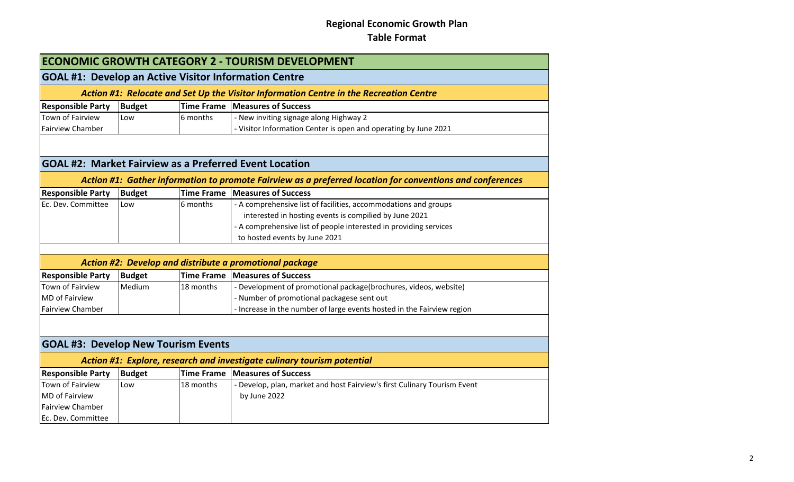| <b>ECONOMIC GROWTH CATEGORY 2 - TOURISM DEVELOPMENT</b>      |               |                   |                                                                                                           |
|--------------------------------------------------------------|---------------|-------------------|-----------------------------------------------------------------------------------------------------------|
| <b>GOAL #1: Develop an Active Visitor Information Centre</b> |               |                   |                                                                                                           |
|                                                              |               |                   | Action #1: Relocate and Set Up the Visitor Information Centre in the Recreation Centre                    |
| <b>Responsible Party</b>                                     | <b>Budget</b> |                   | Time Frame   Measures of Success                                                                          |
| Town of Fairview                                             | Low           | 6 months          | - New inviting signage along Highway 2                                                                    |
| Fairview Chamber                                             |               |                   | - Visitor Information Center is open and operating by June 2021                                           |
|                                                              |               |                   |                                                                                                           |
|                                                              |               |                   | <b>GOAL #2: Market Fairview as a Preferred Event Location</b>                                             |
|                                                              |               |                   | Action #1: Gather information to promote Fairview as a preferred location for conventions and conferences |
| <b>Responsible Party</b>                                     | <b>Budget</b> | <b>Time Frame</b> | <b>Measures of Success</b>                                                                                |
| Ec. Dev. Committee                                           | Low           | 6 months          | - A comprehensive list of facilities, accommodations and groups                                           |
|                                                              |               |                   | interested in hosting events is compilied by June 2021                                                    |
|                                                              |               |                   | - A comprehensive list of people interested in providing services                                         |
|                                                              |               |                   | to hosted events by June 2021                                                                             |
|                                                              |               |                   |                                                                                                           |
|                                                              |               |                   | Action #2: Develop and distribute a promotional package                                                   |
| <b>Responsible Party</b>                                     | <b>Budget</b> |                   | Time Frame   Measures of Success                                                                          |
| <b>Town of Fairview</b>                                      | Medium        | 18 months         | - Development of promotional package(brochures, videos, website)                                          |
| <b>MD</b> of Fairview                                        |               |                   | - Number of promotional packagese sent out                                                                |
| <b>Fairview Chamber</b>                                      |               |                   | - Increase in the number of large events hosted in the Fairview region                                    |
|                                                              |               |                   |                                                                                                           |
|                                                              |               |                   |                                                                                                           |
| <b>GOAL #3: Develop New Tourism Events</b>                   |               |                   |                                                                                                           |
|                                                              |               |                   | Action #1: Explore, research and investigate culinary tourism potential                                   |
| <b>Responsible Party</b>                                     | <b>Budget</b> | <b>Time Frame</b> | <b>Measures of Success</b>                                                                                |
| Town of Fairview                                             | Low           | 18 months         | - Develop, plan, market and host Fairview's first Culinary Tourism Event                                  |
| <b>MD</b> of Fairview                                        |               |                   | by June 2022                                                                                              |
| <b>Fairview Chamber</b>                                      |               |                   |                                                                                                           |
| Ec. Dev. Committee                                           |               |                   |                                                                                                           |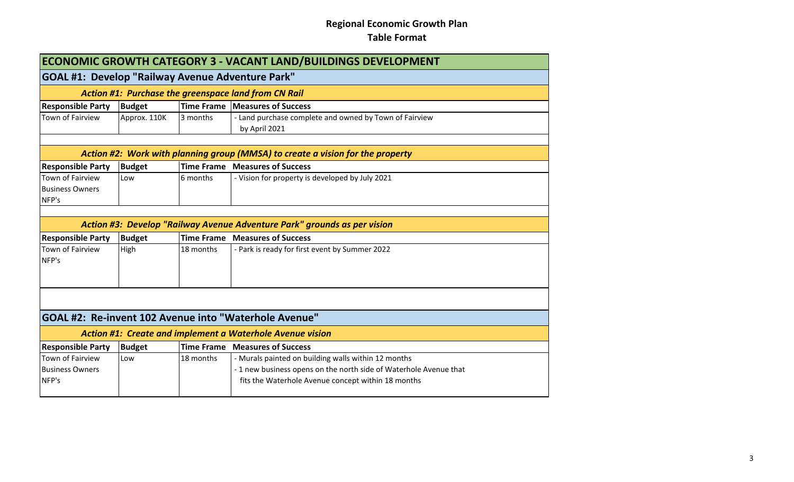| <b>ECONOMIC GROWTH CATEGORY 3 - VACANT LAND/BUILDINGS DEVELOPMENT</b> |                                                                                                                         |           |                                                                          |  |  |
|-----------------------------------------------------------------------|-------------------------------------------------------------------------------------------------------------------------|-----------|--------------------------------------------------------------------------|--|--|
| <b>GOAL #1: Develop "Railway Avenue Adventure Park"</b>               |                                                                                                                         |           |                                                                          |  |  |
| Action #1: Purchase the greenspace land from CN Rail                  |                                                                                                                         |           |                                                                          |  |  |
| <b>Responsible Party</b>                                              | <b>Budget</b>                                                                                                           |           | Time Frame   Measures of Success                                         |  |  |
| Town of Fairview                                                      | Approx. 110K                                                                                                            | 3 months  | - Land purchase complete and owned by Town of Fairview<br>by April 2021  |  |  |
|                                                                       |                                                                                                                         |           |                                                                          |  |  |
| <b>Responsible Party</b>                                              | Action #2: Work with planning group (MMSA) to create a vision for the property<br><b>Time Frame Measures of Success</b> |           |                                                                          |  |  |
| Town of Fairview                                                      | <b>Budget</b><br>Low                                                                                                    | 6 months  | - Vision for property is developed by July 2021                          |  |  |
| <b>Business Owners</b>                                                |                                                                                                                         |           |                                                                          |  |  |
| NFP's                                                                 |                                                                                                                         |           |                                                                          |  |  |
|                                                                       |                                                                                                                         |           |                                                                          |  |  |
|                                                                       |                                                                                                                         |           | Action #3: Develop "Railway Avenue Adventure Park" grounds as per vision |  |  |
| <b>Responsible Party</b>                                              | <b>Budget</b>                                                                                                           |           | <b>Time Frame Measures of Success</b>                                    |  |  |
| <b>Town of Fairview</b><br>NFP's                                      | High                                                                                                                    | 18 months | - Park is ready for first event by Summer 2022                           |  |  |
|                                                                       |                                                                                                                         |           |                                                                          |  |  |
|                                                                       | GOAL #2: Re-invent 102 Avenue into "Waterhole Avenue"                                                                   |           |                                                                          |  |  |
|                                                                       | <b>Action #1: Create and implement a Waterhole Avenue vision</b>                                                        |           |                                                                          |  |  |
| <b>Responsible Party</b>                                              | <b>Budget</b>                                                                                                           |           | Time Frame Measures of Success                                           |  |  |
| <b>Town of Fairview</b>                                               | Low                                                                                                                     | 18 months | - Murals painted on building walls within 12 months                      |  |  |
| <b>Business Owners</b>                                                |                                                                                                                         |           | - 1 new business opens on the north side of Waterhole Avenue that        |  |  |
| NFP's                                                                 |                                                                                                                         |           | fits the Waterhole Avenue concept within 18 months                       |  |  |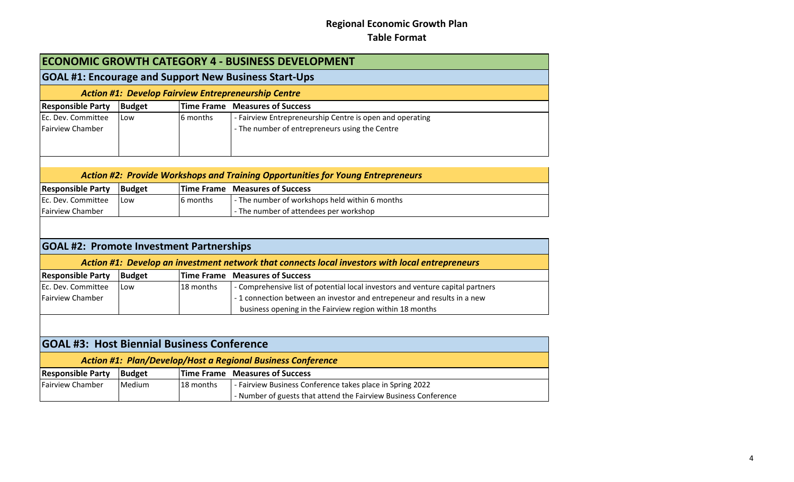| ECONOMIC GROWTH CATEGORY 4 - BUSINESS DEVELOPMENT          |               |           |                                                                                                 |
|------------------------------------------------------------|---------------|-----------|-------------------------------------------------------------------------------------------------|
|                                                            |               |           | <b>GOAL #1: Encourage and Support New Business Start-Ups</b>                                    |
| <b>Action #1: Develop Fairview Entrepreneurship Centre</b> |               |           |                                                                                                 |
| <b>Responsible Party</b>                                   | <b>Budget</b> |           | Time Frame Measures of Success                                                                  |
| Ec. Dev. Committee                                         | Low           | 6 months  | - Fairview Entrepreneurship Centre is open and operating                                        |
| <b>Fairview Chamber</b>                                    |               |           | - The number of entrepreneurs using the Centre                                                  |
|                                                            |               |           | <b>Action #2: Provide Workshops and Training Opportunities for Young Entrepreneurs</b>          |
| <b>Responsible Party</b>                                   | <b>Budget</b> |           | <b>Time Frame Measures of Success</b>                                                           |
| Ec. Dev. Committee                                         | Low           | 6 months  | - The number of workshops held within 6 months                                                  |
| <b>Fairview Chamber</b>                                    |               |           | - The number of attendees per workshop                                                          |
| <b>GOAL #2: Promote Investment Partnerships</b>            |               |           | Action #1: Develop an investment network that connects local investors with local entrepreneurs |
| <b>Responsible Party</b>                                   | <b>Budget</b> |           | Time Frame Measures of Success                                                                  |
| Ec. Dev. Committee                                         | Low           | 18 months | - Comprehensive list of potential local investors and venture capital partners                  |
| <b>Fairview Chamber</b>                                    |               |           | - 1 connection between an investor and entrepeneur and results in a new                         |
|                                                            |               |           | business opening in the Fairview region within 18 months                                        |
| <b>GOAL #3: Host Biennial Business Conference</b>          |               |           |                                                                                                 |
|                                                            |               |           | <b>Action #1: Plan/Develop/Host a Regional Business Conference</b>                              |
| <b>Responsible Party</b>                                   | <b>Budget</b> |           | <b>Time Frame Measures of Success</b>                                                           |
| <b>Fairview Chamber</b>                                    | Medium        | 18 months | - Fairview Business Conference takes place in Spring 2022                                       |
|                                                            |               |           | - Number of guests that attend the Fairview Business Conference                                 |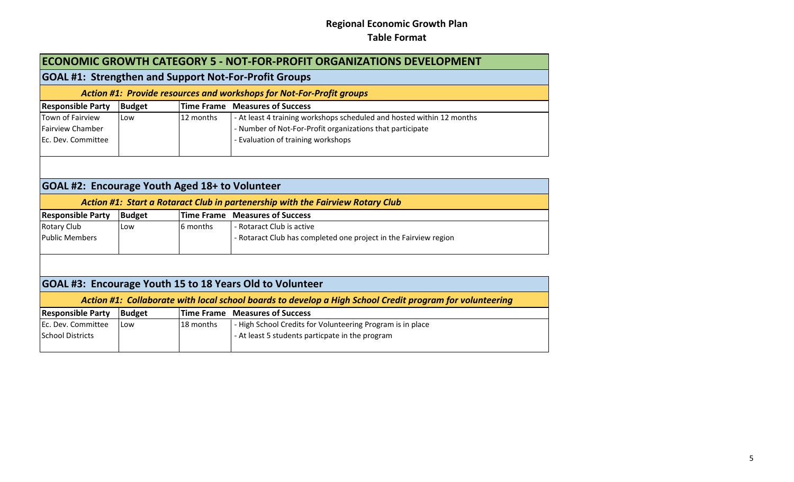| <b>ECONOMIC GROWTH CATEGORY 5 - NOT-FOR-PROFIT ORGANIZATIONS DEVELOPMENT</b> |               |           |                                                                                                          |  |  |
|------------------------------------------------------------------------------|---------------|-----------|----------------------------------------------------------------------------------------------------------|--|--|
|                                                                              |               |           | <b>GOAL #1: Strengthen and Support Not-For-Profit Groups</b>                                             |  |  |
| Action #1: Provide resources and workshops for Not-For-Profit groups         |               |           |                                                                                                          |  |  |
| <b>Responsible Party</b>                                                     | <b>Budget</b> |           | <b>Time Frame Measures of Success</b>                                                                    |  |  |
| Town of Fairview                                                             | Low           | 12 months | - At least 4 training workshops scheduled and hosted within 12 months                                    |  |  |
| <b>Fairview Chamber</b>                                                      |               |           | - Number of Not-For-Profit organizations that participate                                                |  |  |
| Ec. Dev. Committee                                                           |               |           | - Evaluation of training workshops                                                                       |  |  |
|                                                                              |               |           |                                                                                                          |  |  |
|                                                                              |               |           |                                                                                                          |  |  |
|                                                                              |               |           |                                                                                                          |  |  |
| GOAL #2: Encourage Youth Aged 18+ to Volunteer                               |               |           |                                                                                                          |  |  |
|                                                                              |               |           | Action #1: Start a Rotaract Club in partenership with the Fairview Rotary Club                           |  |  |
| <b>Responsible Party</b>                                                     | <b>Budget</b> |           | <b>Time Frame Measures of Success</b>                                                                    |  |  |
| <b>Rotary Club</b>                                                           | Low           | 6 months  | - Rotaract Club is active                                                                                |  |  |
| <b>Public Members</b>                                                        |               |           | - Rotaract Club has completed one project in the Fairview region                                         |  |  |
|                                                                              |               |           |                                                                                                          |  |  |
|                                                                              |               |           |                                                                                                          |  |  |
|                                                                              |               |           |                                                                                                          |  |  |
|                                                                              |               |           | GOAL #3: Encourage Youth 15 to 18 Years Old to Volunteer                                                 |  |  |
|                                                                              |               |           | Action #1: Collaborate with local school boards to develop a High School Credit program for volunteering |  |  |
| <b>Responsible Party</b>                                                     | <b>Budget</b> |           | <b>Time Frame Measures of Success</b>                                                                    |  |  |
| Ec. Dev. Committee                                                           | Low           | 18 months | - High School Credits for Volunteering Program is in place                                               |  |  |
| <b>School Districts</b>                                                      |               |           | - At least 5 students particpate in the program                                                          |  |  |
|                                                                              |               |           |                                                                                                          |  |  |